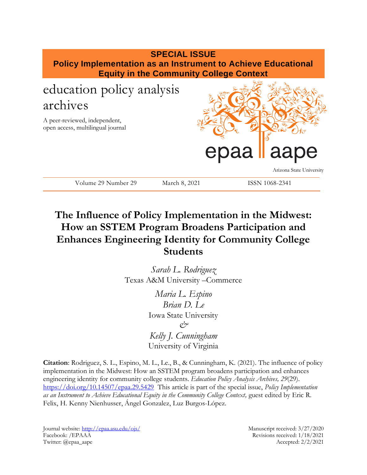

# **The Influence of Policy Implementation in the Midwest: How an SSTEM Program Broadens Participation and Enhances Engineering Identity for Community College Students**

*Sarah L. Rodriguez* Texas A&M University –Commerce

> *Maria L. Espino Brian D. Le* Iowa State University  $\alpha^{\prime}$ *Kelly J. Cunningham* University of Virginia

**Citation**: Rodriguez, S. L., Espino, M. L., Le., B., & Cunningham, K. (2021). The influence of policy implementation in the Midwest: How an SSTEM program broadens participation and enhances engineering identity for community college students. *Education Policy Analysis Archives, 29*(29). <https://doi.org/10.14507/epaa.29.5429>This article is part of the special issue, *Policy Implementation*  as an Instrument to Achieve Educational Equity in the Community College Context, guest edited by Eric R. Felix, H. Kenny Nienhusser, Ángel Gonzalez, Luz Burgos-López.

Journal website:<http://epaa.asu.edu/ojs/> Manuscript received: 3/27/2020 Facebook: /EPAAA Revisions received: 1/18/2021 Twitter: @epaa\_aape Accepted: 2/2/2021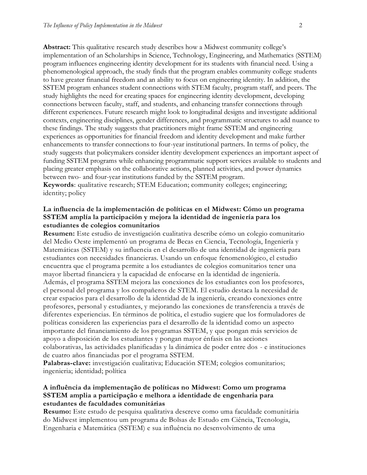**Abstract:** This qualitative research study describes how a Midwest community college's implementation of an Scholarships in Science, Technology, Engineering, and Mathematics (SSTEM) program influences engineering identity development for its students with financial need. Using a phenomenological approach, the study finds that the program enables community college students to have greater financial freedom and an ability to focus on engineering identity. In addition, the SSTEM program enhances student connections with STEM faculty, program staff, and peers. The study highlights the need for creating spaces for engineering identity development, developing connections between faculty, staff, and students, and enhancing transfer connections through different experiences. Future research might look to longitudinal designs and investigate additional contexts, engineering disciplines, gender differences, and programmatic structures to add nuance to these findings. The study suggests that practitioners might frame SSTEM and engineering experiences as opportunities for financial freedom and identity development and make further enhancements to transfer connections to four-year institutional partners. In terms of policy, the study suggests that policymakers consider identity development experiences an important aspect of funding SSTEM programs while enhancing programmatic support services available to students and placing greater emphasis on the collaborative actions, planned activities, and power dynamics between two- and four-year institutions funded by the SSTEM program.

**Keywords**: qualitative research; STEM Education; community colleges; engineering; identity; policy

# **La influencia de la implementación de políticas en el Midwest: Cómo un programa SSTEM amplía la participación y mejora la identidad de ingeniería para los estudiantes de colegios comunitarios**

**Resumen:** Este estudio de investigación cualitativa describe cómo un colegio comunitario del Medio Oeste implementó un programa de Becas en Ciencia, Tecnología, Ingeniería y Matemáticas (SSTEM) y su influencia en el desarrollo de una identidad de ingeniería para estudiantes con necesidades financieras. Usando un enfoque fenomenológico, el estudio encuentra que el programa permite a los estudiantes de colegios comunitarios tener una mayor libertad financiera y la capacidad de enfocarse en la identidad de ingeniería. Además, el programa SSTEM mejora las conexiones de los estudiantes con los profesores, el personal del programa y los compañeros de STEM. El estudio destaca la necesidad de crear espacios para el desarrollo de la identidad de la ingeniería, creando conexiones entre profesores, personal y estudiantes, y mejorando las conexiones de transferencia a través de diferentes experiencias. En términos de política, el estudio sugiere que los formuladores de políticas consideren las experiencias para el desarrollo de la identidad como un aspecto importante del financiamiento de los programas SSTEM, y que pongan más servicios de apoyo a disposición de los estudiantes y pongan mayor énfasis en las acciones colaborativas, las actividades planificadas y la dinámica de poder entre dos - e instituciones de cuatro años financiadas por el programa SSTEM.

**Palabras-clave:** investigación cualitativa; Educación STEM; colegios comunitarios; ingenieria; identidad; política

# **A influência da implementação de políticas no Midwest: Como um programa SSTEM amplia a participação e melhora a identidade de engenharia para estudantes de faculdades comunitárias**

**Resumo:** Este estudo de pesquisa qualitativa descreve como uma faculdade comunitária do Midwest implementou um programa de Bolsas de Estudo em Ciência, Tecnologia, Engenharia e Matemática (SSTEM) e sua influência no desenvolvimento de uma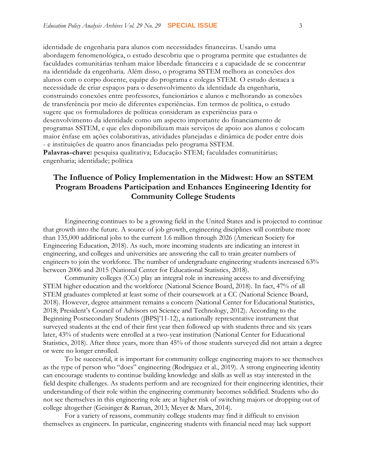identidade de engenharia para alunos com necessidades financeiras. Usando uma abordagem fenomenológica, o estudo descobriu que o programa permite que estudantes de faculdades comunitárias tenham maior liberdade financeira e a capacidade de se concentrar na identidade da engenharia. Além disso, o programa SSTEM melhora as conexões dos alunos com o corpo docente, equipe do programa e colegas STEM. O estudo destaca a necessidade de criar espaços para o desenvolvimento da identidade da engenharia, construindo conexões entre professores, funcionários e alunos e melhorando as conexões de transferência por meio de diferentes experiências. Em termos de política, o estudo sugere que os formuladores de políticas consideram as experiências para o desenvolvimento da identidade como um aspecto importante do financiamento de programas SSTEM, e que eles disponibilizam mais serviços de apoio aos alunos e colocam maior ênfase em ações colaborativas, atividades planejadas e dinâmica de poder entre dois - e instituições de quatro anos financiadas pelo programa SSTEM. **Palavras-chave:** pesquisa qualitativa; Educação STEM; faculdades comunitárias;

engenharia; identidade; política

# **The Influence of Policy Implementation in the Midwest: How an SSTEM Program Broadens Participation and Enhances Engineering Identity for Community College Students**

Engineering continues to be a growing field in the United States and is projected to continue that growth into the future. A source of job growth, engineering disciplines will contribute more than 135,000 additional jobs to the current 1.6 million through 2026 (American Society for Engineering Education, 2018). As such, more incoming students are indicating an interest in engineering, and colleges and universities are answering the call to train greater numbers of engineers to join the workforce. The number of undergraduate engineering students increased 63% between 2006 and 2015 (National Center for Educational Statistics, 2018).

Community colleges (CCs) play an integral role in increasing access to and diversifying STEM higher education and the workforce (National Science Board, 2018). In fact, 47% of all STEM graduates completed at least some of their coursework at a CC (National Science Board, 2018). However, degree attainment remains a concern (National Center for Educational Statistics, 2018; President's Council of Advisors on Science and Technology, 2012). According to the Beginning Postsecondary Students ([BPS]'11-12), a nationally representative instrument that surveyed students at the end of their first year then followed up with students three and six years later, 43% of students were enrolled at a two-year institution (National Center for Educational Statistics, 2018). After three years, more than 45% of those students surveyed did not attain a degree or were no longer enrolled.

To be successful, it is important for community college engineering majors to see themselves as the type of person who "does" engineering (Rodriguez et al., 2019). A strong engineering identity can encourage students to continue building knowledge and skills as well as stay interested in the field despite challenges. As students perform and are recognized for their engineering identities, their understanding of their role within the engineering community becomes solidified. Students who do not see themselves in this engineering role are at higher risk of switching majors or dropping out of college altogether (Geisinger & Raman, 2013; Meyer & Marx, 2014).

For a variety of reasons, community college students may find it difficult to envision themselves as engineers. In particular, engineering students with financial need may lack support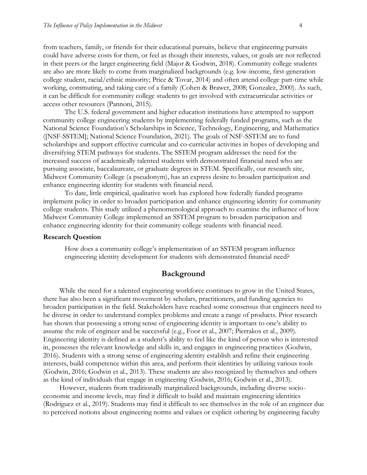from teachers, family, or friends for their educational pursuits, believe that engineering pursuits could have adverse costs for them, or feel as though their interests, values, or goals are not reflected in their peers or the larger engineering field (Major & Godwin, 2018). Community college students are also are more likely to come from marginalized backgrounds (e.g. low-income, first-generation college student, racial/ethnic minority; Price & Tovar, 2014) and often attend college part-time while working, commuting, and taking care of a family (Cohen & Brawer, 2008; Gonzalez, 2000). As such, it can be difficult for community college students to get involved with extracurricular activities or access other resources (Pannoni, 2015).

The U.S. federal government and higher education institutions have attempted to support community college engineering students by implementing federally funded programs, such as the National Science Foundation's Scholarships in Science, Technology, Engineering, and Mathematics ([NSF-SSTEM]; National Science Foundation, 2021). The goals of NSF-SSTEM are to fund scholarships and support effective curricular and co-curricular activities in hopes of developing and diversifying STEM pathways for students. The SSTEM program addresses the need for the increased success of academically talented students with demonstrated financial need who are pursuing associate, baccalaureate, or graduate degrees in STEM. Specifically, our research site, Midwest Community College (a pseudonym), has an express desire to broaden participation and enhance engineering identity for students with financial need.

To date, little empirical, qualitative work has explored how federally funded programs implement policy in order to broaden participation and enhance engineering identity for community college students. This study utilized a phenomenological approach to examine the influence of how Midwest Community College implemented an SSTEM program to broaden participation and enhance engineering identity for their community college students with financial need.

#### **Research Question**

How does a community college's implementation of an SSTEM program influence engineering identity development for students with demonstrated financial need?

# **Background**

While the need for a talented engineering workforce continues to grow in the United States, there has also been a significant movement by scholars, practitioners, and funding agencies to broaden participation in the field. Stakeholders have reached some consensus that engineers need to be diverse in order to understand complex problems and create a range of products. Prior research has shown that possessing a strong sense of engineering identity is important to one's ability to assume the role of engineer and be successful (e.g., Foor et al., 2007; Pierrakos et al., 2009). Engineering identity is defined as a student's ability to feel like the kind of person who is interested in, possesses the relevant knowledge and skills in, and engages in engineering practices (Godwin, 2016). Students with a strong sense of engineering identity establish and refine their engineering interests, build competence within this area, and perform their identities by utilizing various tools (Godwin, 2016; Godwin et al., 2013). These students are also recognized by themselves and others as the kind of individuals that engage in engineering (Godwin, 2016; Godwin et al., 2013).

However, students from traditionally marginalized backgrounds, including diverse socioeconomic and income levels, may find it difficult to build and maintain engineering identities (Rodriguez et al., 2019). Students may find it difficult to see themselves in the role of an engineer due to perceived notions about engineering norms and values or explicit othering by engineering faculty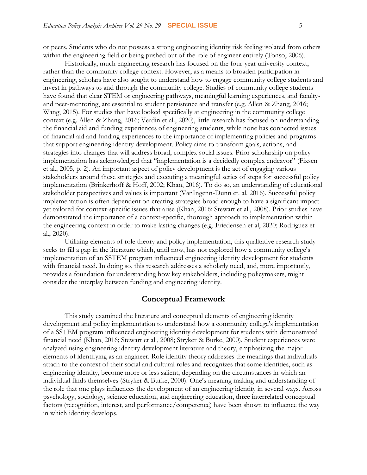or peers. Students who do not possess a strong engineering identity risk feeling isolated from others within the engineering field or being pushed out of the role of engineer entirely (Tonso, 2006).

Historically, much engineering research has focused on the four-year university context, rather than the community college context. However, as a means to broaden participation in engineering, scholars have also sought to understand how to engage community college students and invest in pathways to and through the community college. Studies of community college students have found that clear STEM or engineering pathways, meaningful learning experiences, and facultyand peer-mentoring, are essential to student persistence and transfer (e.g. Allen & Zhang, 2016; Wang, 2015). For studies that have looked specifically at engineering in the community college context (e.g. Allen & Zhang, 2016; Verdin et al., 2020), little research has focused on understanding the financial aid and funding experiences of engineering students, while none has connected issues of financial aid and funding experiences to the importance of implementing policies and programs that support engineering identity development. Policy aims to transform goals, actions, and strategies into changes that will address broad, complex social issues. Prior scholarship on policy implementation has acknowledged that "implementation is a decidedly complex endeavor" (Fixsen et al., 2005, p. 2). An important aspect of policy development is the act of engaging various stakeholders around these strategies and executing a meaningful series of steps for successful policy implementation (Brinkerhoff & Hoff, 2002; Khan, 2016). To do so, an understanding of educational stakeholder perspectives and values is important (VanIngenn-Dunn et. al. 2016). Successful policy implementation is often dependent on creating strategies broad enough to have a significant impact yet tailored for context-specific issues that arise (Khan, 2016; Stewart et al., 2008). Prior studies have demonstrated the importance of a context-specific, thorough approach to implementation within the engineering context in order to make lasting changes (e.g. Friedensen et al, 2020; Rodriguez et al., 2020).

Utilizing elements of role theory and policy implementation, this qualitative research study seeks to fill a gap in the literature which, until now, has not explored how a community college's implementation of an SSTEM program influenced engineering identity development for students with financial need. In doing so, this research addresses a scholarly need, and, more importantly, provides a foundation for understanding how key stakeholders, including policymakers, might consider the interplay between funding and engineering identity.

#### **Conceptual Framework**

This study examined the literature and conceptual elements of engineering identity development and policy implementation to understand how a community college's implementation of a SSTEM program influenced engineering identity development for students with demonstrated financial need (Khan, 2016; Stewart et al., 2008; Stryker & Burke, 2000). Student experiences were analyzed using engineering identity development literature and theory, emphasizing the major elements of identifying as an engineer. Role identity theory addresses the meanings that individuals attach to the context of their social and cultural roles and recognizes that some identities, such as engineering identity, become more or less salient, depending on the circumstances in which an individual finds themselves (Stryker & Burke, 2000). One's meaning making and understanding of the role that one plays influences the development of an engineering identity in several ways. Across psychology, sociology, science education, and engineering education, three interrelated conceptual factors (recognition, interest, and performance/competence) have been shown to influence the way in which identity develops.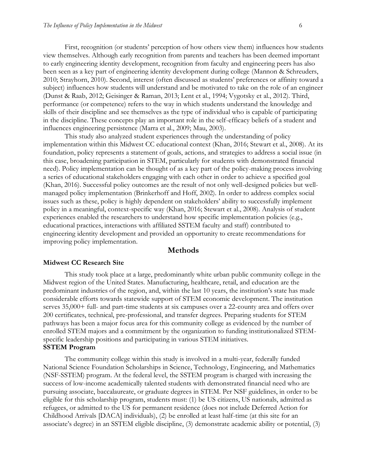First, recognition (or students' perception of how others view them) influences how students view themselves. Although early recognition from parents and teachers has been deemed important to early engineering identity development, recognition from faculty and engineering peers has also been seen as a key part of engineering identity development during college (Mannon & Schreuders, 2010; Strayhorn, 2010). Second, interest (often discussed as students' preferences or affinity toward a subject) influences how students will understand and be motivated to take on the role of an engineer (Dunst & Raab, 2012; Geisinger & Raman, 2013; Lent et al., 1994; Vygotsky et al., 2012). Third, performance (or competence) refers to the way in which students understand the knowledge and skills of their discipline and see themselves as the type of individual who is capable of participating in the discipline. These concepts play an important role in the self-efficacy beliefs of a student and influences engineering persistence (Marra et al., 2009; Mau, 2003).

This study also analyzed student experiences through the understanding of policy implementation within this Midwest CC educational context (Khan, 2016; Stewart et al., 2008). At its foundation, policy represents a statement of goals, actions, and strategies to address a social issue (in this case, broadening participation in STEM, particularly for students with demonstrated financial need). Policy implementation can be thought of as a key part of the policy-making process involving a series of educational stakeholders engaging with each other in order to achieve a specified goal (Khan, 2016). Successful policy outcomes are the result of not only well-designed policies but wellmanaged policy implementation (Brinkerhoff and Hoff, 2002). In order to address complex social issues such as these, policy is highly dependent on stakeholders' ability to successfully implement policy in a meaningful, context-specific way (Khan, 2016; Stewart et al., 2008). Analysis of student experiences enabled the researchers to understand how specific implementation policies (e.g., educational practices, interactions with affiliated SSTEM faculty and staff) contributed to engineering identity development and provided an opportunity to create recommendations for improving policy implementation.

## **Methods**

#### **Midwest CC Research Site**

This study took place at a large, predominantly white urban public community college in the Midwest region of the United States. Manufacturing, healthcare, retail, and education are the predominant industries of the region, and, within the last 10 years, the institution's state has made considerable efforts towards statewide support of STEM economic development. The institution serves 35,000+ full- and part-time students at six campuses over a 22-county area and offers over 200 certificates, technical, pre-professional, and transfer degrees. Preparing students for STEM pathways has been a major focus area for this community college as evidenced by the number of enrolled STEM majors and a commitment by the organization to funding institutionalized STEMspecific leadership positions and participating in various STEM initiatives. **SSTEM Program** 

The community college within this study is involved in a multi-year, federally funded National Science Foundation Scholarships in Science, Technology, Engineering, and Mathematics (NSF-SSTEM) program. At the federal level, the SSTEM program is charged with increasing the success of low-income academically talented students with demonstrated financial need who are pursuing associate, baccalaureate, or graduate degrees in STEM. Per NSF guidelines, in order to be eligible for this scholarship program, students must: (1) be US citizens, US nationals, admitted as refugees, or admitted to the US for permanent residence (does not include Deferred Action for Childhood Arrivals [DACA] individuals), (2) be enrolled at least half-time (at this site for an associate's degree) in an SSTEM eligible discipline, (3) demonstrate academic ability or potential, (3)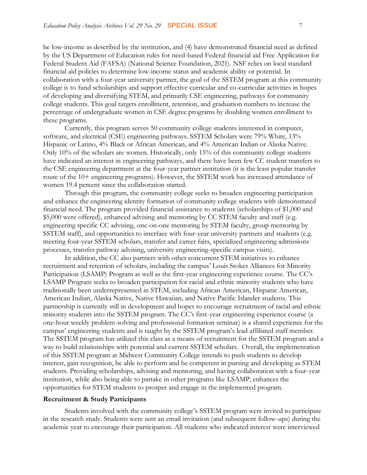be low-income as described by the institution, and (4) have demonstrated financial need as defined by the US Department of Education rules for need-based Federal financial aid Free Application for Federal Student Aid (FAFSA) (National Science Foundation, 2021). NSF relies on local standard financial aid policies to determine low-income status and academic ability or potential. In collaboration with a four-year university partner, the goal of the SSTEM program at this community college is to fund scholarships and support effective curricular and co-curricular activities in hopes of developing and diversifying STEM, and primarily CSE engineering, pathways for community college students. This goal targets enrollment, retention, and graduation numbers to increase the percentage of undergraduate women in CSE degree programs by doubling women enrollment to these programs.

Currently, this program serves 50 community college students interested in computer, software, and electrical (CSE) engineering pathways. SSTEM Scholars were 79% White, 13% Hispanic or Latino, 4% Black or African American, and 4% American Indian or Alaska Native. Only 10% of the scholars are women. Historically, only 15% of this community college students have indicated an interest in engineering pathways, and there have been few CC student transfers to the CSE engineering department at the four-year partner institution (it is the least popular transfer route of the 10+ engineering programs). However, the SSTEM work has increased attendance of women 19.4 percent since the collaboration started.

Through this program, the community college seeks to broaden engineering participation and enhance the engineering identity formation of community college students with demonstrated financial need. The program provided financial assistance to students (scholarships of \$1,000 and \$5,000 were offered), enhanced advising and mentoring by CC STEM faculty and staff (e.g. engineering specific CC advising, one-on-one mentoring by STEM faculty, group mentoring by SSTEM staff), and opportunities to interface with four-year university partners and students (e.g. meeting four-year SSTEM scholars, transfer and career fairs, specialized engineering admissions processes, transfer pathway advising, university engineering-specific campus visits).

In addition, the CC also partners with other concurrent STEM initiatives to enhance recruitment and retention of scholars, including the campus' Louis Stokes Alliances for Minority Participation (LSAMP) Program as well as the first-year engineering experience course. The CC's LSAMP Program seeks to broaden participation for racial and ethnic minority students who have traditionally been underrepresented in STEM, including African American, Hispanic American, American Indian, Alaska Native, Native Hawaiian, and Native Pacific Islander students. This partnership is currently still in development and hopes to encourage recruitment of racial and ethnic minority students into the SSTEM program. The CC's first-year engineering experience course (a one-hour weekly problem-solving and professional formation seminar) is a shared experience for the campus' engineering students and is taught by the SSTEM program's lead affiliated staff member. The SSTEM program has utilized this class as a means of recruitment for the SSTEM program and a way to build relationships with potential and current SSTEM scholars. Overall, the implementation of this SSTEM program at Midwest Community College intends to push students to develop interest, gain recognition, be able to perform and be competent in pursing and developing as STEM students. Providing scholarships, advising and mentoring, and having collaboration with a four-year institution, while also being able to partake in other programs like LSAMP, enhances the opportunities for STEM students to prosper and engage in the implemented program.

#### **Recruitment & Study Participants**

Students involved with the community college's SSTEM program were invited to participate in the research study. Students were sent an email invitation (and subsequent follow-ups) during the academic year to encourage their participation. All students who indicated interest were interviewed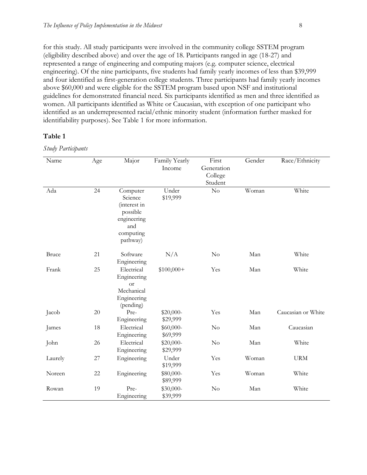for this study. All study participants were involved in the community college SSTEM program (eligibility described above) and over the age of 18. Participants ranged in age (18-27) and represented a range of engineering and computing majors (e.g. computer science, electrical engineering). Of the nine participants, five students had family yearly incomes of less than \$39,999 and four identified as first-generation college students. Three participants had family yearly incomes above \$60,000 and were eligible for the SSTEM program based upon NSF and institutional guidelines for demonstrated financial need. Six participants identified as men and three identified as women. All participants identified as White or Caucasian, with exception of one participant who identified as an underrepresented racial/ethnic minority student (information further masked for identifiability purposes). See Table 1 for more information.

# **Table 1**

*Study Participants*

| Name         | Age | Major                                                                                          | Family Yearly<br>Income | First<br>Generation<br>College<br>Student | Gender | Race/Ethnicity     |
|--------------|-----|------------------------------------------------------------------------------------------------|-------------------------|-------------------------------------------|--------|--------------------|
| Ada          | 24  | Computer<br>Science<br>(interest in<br>possible<br>engineering<br>and<br>computing<br>pathway) | Under<br>\$19,999       | $\rm No$                                  | Woman  | White              |
| <b>Bruce</b> | 21  | Software<br>Engineering                                                                        | N/A                     | No                                        | Man    | White              |
| Frank        | 25  | Electrical<br>Engineering<br><b>or</b><br>Mechanical<br>Engineering<br>(pending)               | $$100,000+$             | Yes                                       | Man    | White              |
| Jacob        | 20  | Pre-<br>Engineering                                                                            | \$20,000-<br>\$29,999   | Yes                                       | Man    | Caucasian or White |
| James        | 18  | Electrical<br>Engineering                                                                      | \$60,000-<br>\$69,999   | $\rm No$                                  | Man    | Caucasian          |
| John         | 26  | Electrical<br>Engineering                                                                      | \$20,000-<br>\$29,999   | $\rm No$                                  | Man    | White              |
| Laurely      | 27  | Engineering                                                                                    | Under<br>\$19,999       | Yes                                       | Woman  | <b>URM</b>         |
| Noreen       | 22  | Engineering                                                                                    | \$80,000-<br>\$89,999   | Yes                                       | Woman  | White              |
| Rowan        | 19  | Pre-<br>Engineering                                                                            | \$30,000-<br>\$39,999   | No                                        | Man    | White              |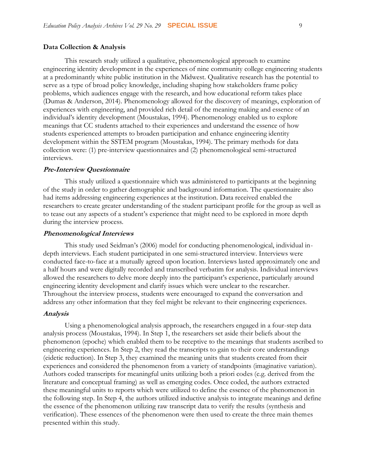#### **Data Collection & Analysis**

This research study utilized a qualitative, phenomenological approach to examine engineering identity development in the experiences of nine community college engineering students at a predominantly white public institution in the Midwest. Qualitative research has the potential to serve as a type of broad policy knowledge, including shaping how stakeholders frame policy problems, which audiences engage with the research, and how educational reform takes place (Dumas & Anderson, 2014). Phenomenology allowed for the discovery of meanings, exploration of experiences with engineering, and provided rich detail of the meaning making and essence of an individual's identity development (Moustakas, 1994). Phenomenology enabled us to explore meanings that CC students attached to their experiences and understand the essence of how students experienced attempts to broaden participation and enhance engineering identity development within the SSTEM program (Moustakas, 1994). The primary methods for data collection were: (1) pre-interview questionnaires and (2) phenomenological semi-structured interviews.

#### **Pre-Interview Questionnaire**

This study utilized a questionnaire which was administered to participants at the beginning of the study in order to gather demographic and background information. The questionnaire also had items addressing engineering experiences at the institution. Data received enabled the researchers to create greater understanding of the student participant profile for the group as well as to tease out any aspects of a student's experience that might need to be explored in more depth during the interview process.

#### **Phenomenological Interviews**

This study used Seidman's (2006) model for conducting phenomenological, individual indepth interviews. Each student participated in one semi-structured interview. Interviews were conducted face-to-face at a mutually agreed upon location. Interviews lasted approximately one and a half hours and were digitally recorded and transcribed verbatim for analysis. Individual interviews allowed the researchers to delve more deeply into the participant's experience, particularly around engineering identity development and clarify issues which were unclear to the researcher. Throughout the interview process, students were encouraged to expand the conversation and address any other information that they feel might be relevant to their engineering experiences.

#### **Analysis**

Using a phenomenological analysis approach, the researchers engaged in a four-step data analysis process (Moustakas, 1994). In Step 1, the researchers set aside their beliefs about the phenomenon (epoche) which enabled them to be receptive to the meanings that students ascribed to engineering experiences. In Step 2, they read the transcripts to gain to their core understandings (eidetic reduction). In Step 3, they examined the meaning units that students created from their experiences and considered the phenomenon from a variety of standpoints (imaginative variation). Authors coded transcripts for meaningful units utilizing both a priori codes (e.g. derived from the literature and conceptual framing) as well as emerging codes. Once coded, the authors extracted these meaningful units to reports which were utilized to define the essence of the phenomenon in the following step. In Step 4, the authors utilized inductive analysis to integrate meanings and define the essence of the phenomenon utilizing raw transcript data to verify the results (synthesis and verification). These essences of the phenomenon were then used to create the three main themes presented within this study.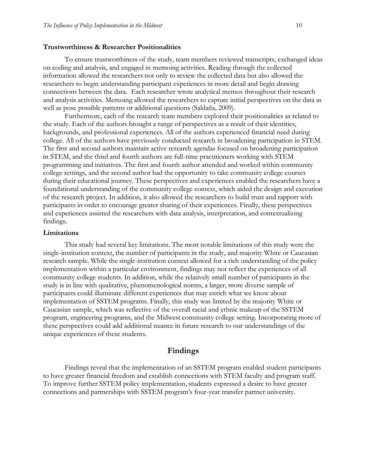#### **Trustworthiness & Researcher Positionalities**

To ensure trustworthiness of the study, team members reviewed transcripts, exchanged ideas on coding and analysis, and engaged in memoing activities. Reading through the collected information allowed the researchers not only to review the collected data but also allowed the researchers to begin understanding participant experiences in more detail and begin drawing connections between the data. Each researcher wrote analytical memos throughout their research and analysis activities. Memoing allowed the researchers to capture initial perspectives on the data as well as pose possible patterns or additional questions (Saldaña, 2009).

Furthermore, each of the research team members explored their positionalities as related to the study. Each of the authors brought a range of perspectives as a result of their identities, backgrounds, and professional experiences. All of the authors experienced financial need during college. All of the authors have previously conducted research in broadening participation in STEM. The first and second authors maintain active research agendas focused on broadening participation in STEM, and the third and fourth authors are full-time practitioners working with STEM programming and initiatives. The first and fourth author attended and worked within community college settings, and the second author had the opportunity to take community college courses during their educational journey. These perspectives and experiences enabled the researchers have a foundational understanding of the community college context, which aided the design and execution of the research project. In addition, it also allowed the researchers to build trust and rapport with participants in order to encourage greater sharing of their experiences. Finally, these perspectives and experiences assisted the researchers with data analysis, interpretation, and contextualizing findings.

#### **Limitations**

This study had several key limitations. The most notable limitations of this study were the single-institution context, the number of participants in the study, and majority White or Caucasian research sample. While the single-institution context allowed for a rich understanding of the policy implementation within a particular environment, findings may not reflect the experiences of all community college students. In addition, while the relatively small number of participants in the study is in line with qualitative, phenomenological norms, a larger, more diverse sample of participants could illuminate different experiences that may enrich what we know about implementation of SSTEM programs. Finally, this study was limited by the majority White or Caucasian sample, which was reflective of the overall racial and ethnic makeup of the SSTEM program, engineering programs, and the Midwest community college setting. Incorporating more of these perspectives could add additional nuance in future research to our understandings of the unique experiences of these students.

# **Findings**

Findings reveal that the implementation of an SSTEM program enabled student participants to have greater financial freedom and establish connections with STEM faculty and program staff. To improve further SSTEM policy implementation, students expressed a desire to have greater connections and partnerships with SSTEM program's four-year transfer partner university.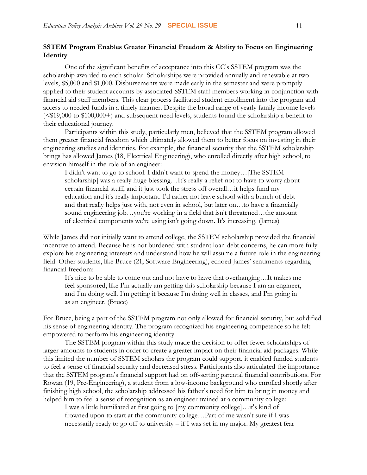# **SSTEM Program Enables Greater Financial Freedom & Ability to Focus on Engineering Identity**

One of the significant benefits of acceptance into this CC's SSTEM program was the scholarship awarded to each scholar. Scholarships were provided annually and renewable at two levels, \$5,000 and \$1,000. Disbursements were made early in the semester and were promptly applied to their student accounts by associated SSTEM staff members working in conjunction with financial aid staff members. This clear process facilitated student enrollment into the program and access to needed funds in a timely manner. Despite the broad range of yearly family income levels (<\$19,000 to \$100,000+) and subsequent need levels, students found the scholarship a benefit to their educational journey.

Participants within this study, particularly men, believed that the SSTEM program allowed them greater financial freedom which ultimately allowed them to better focus on investing in their engineering studies and identities. For example, the financial security that the SSTEM scholarship brings has allowed James (18, Electrical Engineering), who enrolled directly after high school, to envision himself in the role of an engineer:

I didn't want to go to school. I didn't want to spend the money…[The SSTEM scholarship] was a really huge blessing…It's really a relief not to have to worry about certain financial stuff, and it just took the stress off overall…it helps fund my education and it's really important. I'd rather not leave school with a bunch of debt and that really helps just with, not even in school, but later on…to have a financially sound engineering job...you're working in a field that isn't threatened...the amount of electrical components we're using isn't going down. It's increasing. (James)

While James did not initially want to attend college, the SSTEM scholarship provided the financial incentive to attend. Because he is not burdened with student loan debt concerns, he can more fully explore his engineering interests and understand how he will assume a future role in the engineering field. Other students, like Bruce (21, Software Engineering), echoed James' sentiments regarding financial freedom:

It's nice to be able to come out and not have to have that overhanging…It makes me feel sponsored, like I'm actually am getting this scholarship because I am an engineer, and I'm doing well. I'm getting it because I'm doing well in classes, and I'm going in as an engineer. (Bruce)

For Bruce, being a part of the SSTEM program not only allowed for financial security, but solidified his sense of engineering identity. The program recognized his engineering competence so he felt empowered to perform his engineering identity.

The SSTEM program within this study made the decision to offer fewer scholarships of larger amounts to students in order to create a greater impact on their financial aid packages. While this limited the number of SSTEM scholars the program could support, it enabled funded students to feel a sense of financial security and decreased stress. Participants also articulated the importance that the SSTEM program's financial support had on off-setting parental financial contributions. For Rowan (19, Pre-Engineering), a student from a low-income background who enrolled shortly after finishing high school, the scholarship addressed his father's need for him to bring in money and helped him to feel a sense of recognition as an engineer trained at a community college:

I was a little humiliated at first going to [my community college]…it's kind of frowned upon to start at the community college…Part of me wasn't sure if I was necessarily ready to go off to university – if I was set in my major. My greatest fear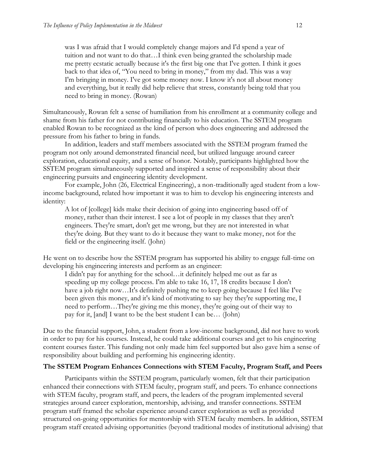was I was afraid that I would completely change majors and I'd spend a year of tuition and not want to do that…I think even being granted the scholarship made me pretty ecstatic actually because it's the first big one that I've gotten. I think it goes back to that idea of, "You need to bring in money," from my dad. This was a way I'm bringing in money. I've got some money now. I know it's not all about money and everything, but it really did help relieve that stress, constantly being told that you need to bring in money. (Rowan)

Simultaneously, Rowan felt a sense of humiliation from his enrollment at a community college and shame from his father for not contributing financially to his education. The SSTEM program enabled Rowan to be recognized as the kind of person who does engineering and addressed the pressure from his father to bring in funds.

In addition, leaders and staff members associated with the SSTEM program framed the program not only around demonstrated financial need, but utilized language around career exploration, educational equity, and a sense of honor. Notably, participants highlighted how the SSTEM program simultaneously supported and inspired a sense of responsibility about their engineering pursuits and engineering identity development.

For example, John (26, Electrical Engineering), a non-traditionally aged student from a lowincome background, related how important it was to him to develop his engineering interests and identity:

A lot of [college] kids make their decision of going into engineering based off of money, rather than their interest. I see a lot of people in my classes that they aren't engineers. They're smart, don't get me wrong, but they are not interested in what they're doing. But they want to do it because they want to make money, not for the field or the engineering itself. (John)

He went on to describe how the SSTEM program has supported his ability to engage full-time on developing his engineering interests and perform as an engineer:

I didn't pay for anything for the school…it definitely helped me out as far as speeding up my college process. I'm able to take 16, 17, 18 credits because I don't have a job right now…It's definitely pushing me to keep going because I feel like I've been given this money, and it's kind of motivating to say hey they're supporting me, I need to perform…They're giving me this money, they're going out of their way to pay for it, [and] I want to be the best student I can be… (John)

Due to the financial support, John, a student from a low-income background, did not have to work in order to pay for his courses. Instead, he could take additional courses and get to his engineering content courses faster. This funding not only made him feel supported but also gave him a sense of responsibility about building and performing his engineering identity.

# **The SSTEM Program Enhances Connections with STEM Faculty, Program Staff, and Peers**

Participants within the SSTEM program, particularly women, felt that their participation enhanced their connections with STEM faculty, program staff, and peers. To enhance connections with STEM faculty, program staff, and peers, the leaders of the program implemented several strategies around career exploration, mentorship, advising, and transfer connections. SSTEM program staff framed the scholar experience around career exploration as well as provided structured on-going opportunities for mentorship with STEM faculty members. In addition, SSTEM program staff created advising opportunities (beyond traditional modes of institutional advising) that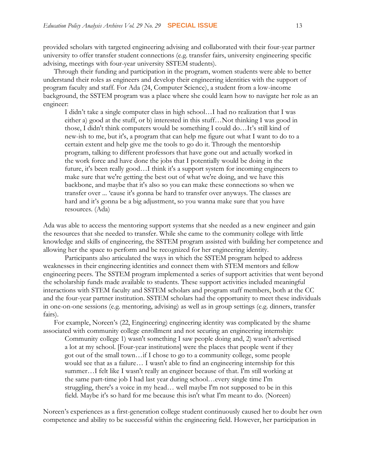provided scholars with targeted engineering advising and collaborated with their four-year partner university to offer transfer student connections (e.g. transfer fairs, university engineering specific advising, meetings with four-year university SSTEM students).

Through their funding and participation in the program, women students were able to better understand their roles as engineers and develop their engineering identities with the support of program faculty and staff. For Ada (24, Computer Science), a student from a low-income background, the SSTEM program was a place where she could learn how to navigate her role as an engineer:

I didn't take a single computer class in high school…I had no realization that I was either a) good at the stuff, or b) interested in this stuff…Not thinking I was good in those, I didn't think computers would be something I could do…It's still kind of new-ish to me, but it's, a program that can help me figure out what I want to do to a certain extent and help give me the tools to go do it. Through the mentorship program, talking to different professors that have gone out and actually worked in the work force and have done the jobs that I potentially would be doing in the future, it's been really good…I think it's a support system for incoming engineers to make sure that we're getting the best out of what we're doing, and we have this backbone, and maybe that it's also so you can make these connections so when we transfer over ... 'cause it's gonna be hard to transfer over anyways. The classes are hard and it's gonna be a big adjustment, so you wanna make sure that you have resources. (Ada)

Ada was able to access the mentoring support systems that she needed as a new engineer and gain the resources that she needed to transfer. While she came to the community college with little knowledge and skills of engineering, the SSTEM program assisted with building her competence and allowing her the space to perform and be recognized for her engineering identity.

Participants also articulated the ways in which the SSTEM program helped to address weaknesses in their engineering identities and connect them with STEM mentors and fellow engineering peers. The SSTEM program implemented a series of support activities that went beyond the scholarship funds made available to students. These support activities included meaningful interactions with STEM faculty and SSTEM scholars and program staff members, both at the CC and the four-year partner institution. SSTEM scholars had the opportunity to meet these individuals in one-on-one sessions (e.g. mentoring, advising) as well as in group settings (e.g. dinners, transfer fairs).

For example, Noreen's (22, Engineering) engineering identity was complicated by the shame associated with community college enrollment and not securing an engineering internship:

Community college 1) wasn't something I saw people doing and, 2) wasn't advertised a lot at my school. [Four-year institutions] were the places that people went if they got out of the small town…if I chose to go to a community college, some people would see that as a failure… I wasn't able to find an engineering internship for this summer…I felt like I wasn't really an engineer because of that. I'm still working at the same part-time job I had last year during school…every single time I'm struggling, there's a voice in my head… well maybe I'm not supposed to be in this field. Maybe it's so hard for me because this isn't what I'm meant to do. (Noreen)

Noreen's experiences as a first-generation college student continuously caused her to doubt her own competence and ability to be successful within the engineering field. However, her participation in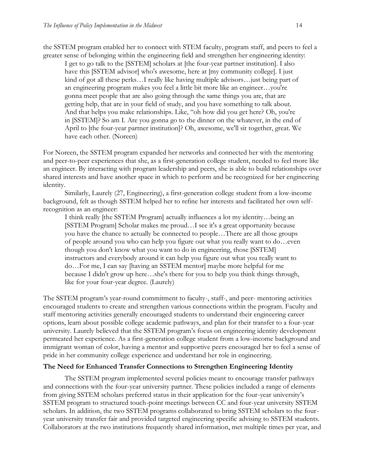the SSTEM program enabled her to connect with STEM faculty, program staff, and peers to feel a greater sense of belonging within the engineering field and strengthen her engineering identity:

I get to go talk to the [SSTEM] scholars at [the four-year partner institution]. I also have this [SSTEM advisor] who's awesome, here at [my community college]. I just kind of got all these perks…I really like having multiple advisors…just being part of an engineering program makes you feel a little bit more like an engineer…you're gonna meet people that are also going through the same things you are, that are getting help, that are in your field of study, and you have something to talk about. And that helps you make relationships. Like, "oh how did you get here? Oh, you're in [SSTEM]? So am I. Are you gonna go to the dinner on the whatever, in the end of April to [the four-year partner institution]? Oh, awesome, we'll sit together, great. We have each other. (Noreen)

For Noreen, the SSTEM program expanded her networks and connected her with the mentoring and peer-to-peer experiences that she, as a first-generation college student, needed to feel more like an engineer. By interacting with program leadership and peers, she is able to build relationships over shared interests and have another space in which to perform and be recognized for her engineering identity.

Similarly, Laurely (27, Engineering), a first-generation college student from a low-income background, felt as though SSTEM helped her to refine her interests and facilitated her own selfrecognition as an engineer:

I think really [the SSTEM Program] actually influences a lot my identity…being an [SSTEM Program] Scholar makes me proud…I see it's a great opportunity because you have the chance to actually be connected to people…There are all those groups of people around you who can help you figure out what you really want to do…even though you don't know what you want to do in engineering, those [SSTEM] instructors and everybody around it can help you figure out what you really want to do…For me, I can say [having an SSTEM mentor] maybe more helpful for me because I didn't grow up here…she's there for you to help you think things through, like for your four-year degree. (Laurely)

The SSTEM program's year-round commitment to faculty-, staff-, and peer- mentoring activities encouraged students to create and strengthen various connections within the program. Faculty and staff mentoring activities generally encouraged students to understand their engineering career options, learn about possible college academic pathways, and plan for their transfer to a four-year university. Laurely believed that the SSTEM program's focus on engineering identity development permeated her experience. As a first-generation college student from a low-income background and immigrant woman of color, having a mentor and supportive peers encouraged her to feel a sense of pride in her community college experience and understand her role in engineering.

#### **The Need for Enhanced Transfer Connections to Strengthen Engineering Identity**

The SSTEM program implemented several policies meant to encourage transfer pathways and connections with the four-year university partner. These policies included a range of elements from giving SSTEM scholars preferred status in their application for the four-year university's SSTEM program to structured touch-point meetings between CC and four-year university SSTEM scholars. In addition, the two SSTEM programs collaborated to bring SSTEM scholars to the fouryear university transfer fair and provided targeted engineering specific advising to SSTEM students. Collaborators at the two institutions frequently shared information, met multiple times per year, and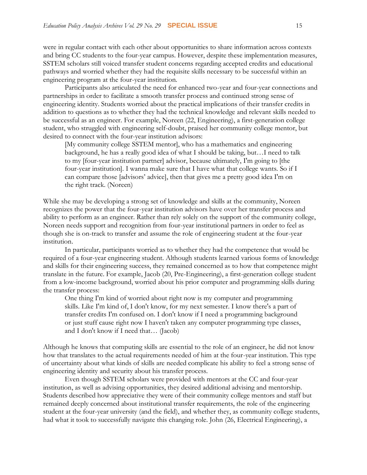were in regular contact with each other about opportunities to share information across contexts and bring CC students to the four-year campus. However, despite these implementation measures, SSTEM scholars still voiced transfer student concerns regarding accepted credits and educational pathways and worried whether they had the requisite skills necessary to be successful within an engineering program at the four-year institution.

Participants also articulated the need for enhanced two-year and four-year connections and partnerships in order to facilitate a smooth transfer process and continued strong sense of engineering identity. Students worried about the practical implications of their transfer credits in addition to questions as to whether they had the technical knowledge and relevant skills needed to be successful as an engineer. For example, Noreen (22, Engineering), a first-generation college student, who struggled with engineering self-doubt, praised her community college mentor, but desired to connect with the four-year institution advisors:

[My community college SSTEM mentor], who has a mathematics and engineering background, he has a really good idea of what I should be taking, but…I need to talk to my [four-year institution partner] advisor, because ultimately, I'm going to [the four-year institution]. I wanna make sure that I have what that college wants. So if I can compare those [advisors' advice], then that gives me a pretty good idea I'm on the right track. (Noreen)

While she may be developing a strong set of knowledge and skills at the community, Noreen recognizes the power that the four-year institution advisors have over her transfer process and ability to perform as an engineer. Rather than rely solely on the support of the community college, Noreen needs support and recognition from four-year institutional partners in order to feel as though she is on-track to transfer and assume the role of engineering student at the four-year institution.

In particular, participants worried as to whether they had the competence that would be required of a four-year engineering student. Although students learned various forms of knowledge and skills for their engineering success, they remained concerned as to how that competence might translate in the future. For example, Jacob (20, Pre-Engineering), a first-generation college student from a low-income background, worried about his prior computer and programming skills during the transfer process:

One thing I'm kind of worried about right now is my computer and programming skills. Like I'm kind of, I don't know, for my next semester. I know there's a part of transfer credits I'm confused on. I don't know if I need a programming background or just stuff cause right now I haven't taken any computer programming type classes, and I don't know if I need that… (Jacob)

Although he knows that computing skills are essential to the role of an engineer, he did not know how that translates to the actual requirements needed of him at the four-year institution. This type of uncertainty about what kinds of skills are needed complicate his ability to feel a strong sense of engineering identity and security about his transfer process.

Even though SSTEM scholars were provided with mentors at the CC and four-year institution, as well as advising opportunities, they desired additional advising and mentorship. Students described how appreciative they were of their community college mentors and staff but remained deeply concerned about institutional transfer requirements, the role of the engineering student at the four-year university (and the field), and whether they, as community college students, had what it took to successfully navigate this changing role. John (26, Electrical Engineering), a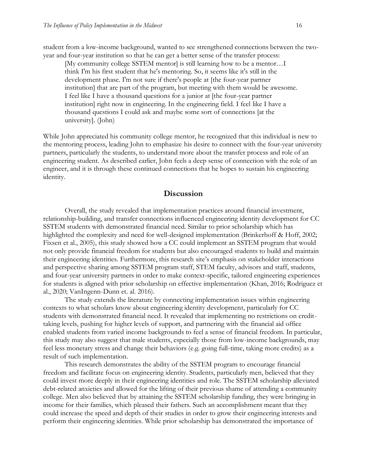student from a low-income background, wanted to see strengthened connections between the twoyear and four-year institution so that he can get a better sense of the transfer process:

[My community college SSTEM mentor] is still learning how to be a mentor…I think I'm his first student that he's mentoring. So, it seems like it's still in the development phase. I'm not sure if there's people at [the four-year partner institution] that are part of the program, but meeting with them would be awesome. I feel like I have a thousand questions for a junior at [the four-year partner institution] right now in engineering. In the engineering field. I feel like I have a thousand questions I could ask and maybe some sort of connections [at the university]. (John)

While John appreciated his community college mentor, he recognized that this individual is new to the mentoring process, leading John to emphasize his desire to connect with the four-year university partners, particularly the students, to understand more about the transfer process and role of an engineering student. As described earlier, John feels a deep sense of connection with the role of an engineer, and it is through these continued connections that he hopes to sustain his engineering identity.

# **Discussion**

Overall, the study revealed that implementation practices around financial investment, relationship-building, and transfer connections influenced engineering identity development for CC SSTEM students with demonstrated financial need. Similar to prior scholarship which has highlighted the complexity and need for well-designed implementation (Brinkerhoff & Hoff, 2002; Fixsen et al., 2005), this study showed how a CC could implement an SSTEM program that would not only provide financial freedom for students but also encouraged students to build and maintain their engineering identities. Furthermore, this research site's emphasis on stakeholder interactions and perspective sharing among SSTEM program staff, STEM faculty, advisors and staff, students, and four-year university partners in order to make context-specific, tailored engineering experiences for students is aligned with prior scholarship on effective implementation (Khan, 2016; Rodriguez et al., 2020; VanIngenn-Dunn et. al. 2016).

The study extends the literature by connecting implementation issues within engineering contexts to what scholars know about engineering identity development, particularly for CC students with demonstrated financial need. It revealed that implementing no restrictions on credittaking levels, pushing for higher levels of support, and partnering with the financial aid office enabled students from varied income backgrounds to feel a sense of financial freedom. In particular, this study may also suggest that male students, especially those from low-income backgrounds, may feel less monetary stress and change their behaviors (e.g. going full-time, taking more credits) as a result of such implementation.

This research demonstrates the ability of the SSTEM program to encourage financial freedom and facilitate focus on engineering identity. Students, particularly men, believed that they could invest more deeply in their engineering identities and role. The SSTEM scholarship alleviated debt-related anxieties and allowed for the lifting of their previous shame of attending a community college. Men also believed that by attaining the SSTEM scholarship funding, they were bringing in income for their families, which pleased their fathers. Such an accomplishment meant that they could increase the speed and depth of their studies in order to grow their engineering interests and perform their engineering identities. While prior scholarship has demonstrated the importance of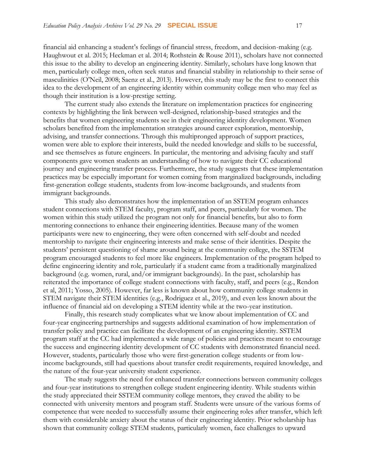financial aid enhancing a student's feelings of financial stress, freedom, and decision-making (e.g. Haughwout et al. 2015; Heckman et al. 2014; Rothstein & Rouse 2011), scholars have not connected this issue to the ability to develop an engineering identity. Similarly, scholars have long known that men, particularly college men, often seek status and financial stability in relationship to their sense of masculinities (O'Neil, 2008; Saenz et al., 2013). However, this study may be the first to connect this idea to the development of an engineering identity within community college men who may feel as though their institution is a low-prestige setting.

The current study also extends the literature on implementation practices for engineering contexts by highlighting the link between well-designed, relationship-based strategies and the benefits that women engineering students see in their engineering identity development. Women scholars benefited from the implementation strategies around career exploration, mentorship, advising, and transfer connections. Through this multipronged approach of support practices, women were able to explore their interests, build the needed knowledge and skills to be successful, and see themselves as future engineers. In particular, the mentoring and advising faculty and staff components gave women students an understanding of how to navigate their CC educational journey and engineering transfer process. Furthermore, the study suggests that these implementation practices may be especially important for women coming from marginalized backgrounds, including first-generation college students, students from low-income backgrounds, and students from immigrant backgrounds.

This study also demonstrates how the implementation of an SSTEM program enhances student connections with STEM faculty, program staff, and peers, particularly for women. The women within this study utilized the program not only for financial benefits, but also to form mentoring connections to enhance their engineering identities. Because many of the women participants were new to engineering, they were often concerned with self-doubt and needed mentorship to navigate their engineering interests and make sense of their identities. Despite the students' persistent questioning of shame around being at the community college, the SSTEM program encouraged students to feel more like engineers. Implementation of the program helped to define engineering identity and role, particularly if a student came from a traditionally marginalized background (e.g. women, rural, and/or immigrant backgrounds). In the past, scholarship has reiterated the importance of college student connections with faculty, staff, and peers (e.g., Rendon et al, 2011; Yosso, 2005). However, far less is known about how community college students in STEM navigate their STEM identities (e.g., Rodriguez et al., 2019), and even less known about the influence of financial aid on developing a STEM identity while at the two-year institution.

Finally, this research study complicates what we know about implementation of CC and four-year engineering partnerships and suggests additional examination of how implementation of transfer policy and practice can facilitate the development of an engineering identity. SSTEM program staff at the CC had implemented a wide range of policies and practices meant to encourage the success and engineering identity development of CC students with demonstrated financial need. However, students, particularly those who were first-generation college students or from lowincome backgrounds, still had questions about transfer credit requirements, required knowledge, and the nature of the four-year university student experience.

The study suggests the need for enhanced transfer connections between community colleges and four-year institutions to strengthen college student engineering identity. While students within the study appreciated their SSTEM community college mentors, they craved the ability to be connected with university mentors and program staff. Students were unsure of the various forms of competence that were needed to successfully assume their engineering roles after transfer, which left them with considerable anxiety about the status of their engineering identity. Prior scholarship has shown that community college STEM students, particularly women, face challenges to upward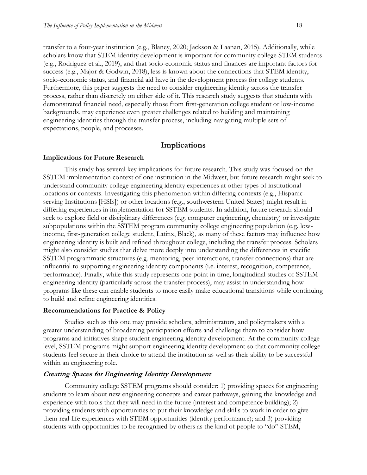transfer to a four-year institution (e.g., Blaney, 2020; Jackson & Laanan, 2015). Additionally, while scholars know that STEM identity development is important for community college STEM students (e.g., Rodriguez et al., 2019), and that socio-economic status and finances are important factors for success (e.g., Major & Godwin, 2018), less is known about the connections that STEM identity, socio-economic status, and financial aid have in the development process for college students. Furthermore, this paper suggests the need to consider engineering identity across the transfer process, rather than discretely on either side of it. This research study suggests that students with demonstrated financial need, especially those from first-generation college student or low-income backgrounds, may experience even greater challenges related to building and maintaining engineering identities through the transfer process, including navigating multiple sets of expectations, people, and processes.

# **Implications**

#### **Implications for Future Research**

This study has several key implications for future research. This study was focused on the SSTEM implementation context of one institution in the Midwest, but future research might seek to understand community college engineering identity experiences at other types of institutional locations or contexts. Investigating this phenomenon within differing contexts (e.g., Hispanicserving Institutions [HSIs]) or other locations (e.g., southwestern United States) might result in differing experiences in implementation for SSTEM students. In addition, future research should seek to explore field or disciplinary differences (e.g. computer engineering, chemistry) or investigate subpopulations within the SSTEM program community college engineering population (e.g. lowincome, first-generation college student, Latinx, Black), as many of these factors may influence how engineering identity is built and refined throughout college, including the transfer process. Scholars might also consider studies that delve more deeply into understanding the differences in specific SSTEM programmatic structures (e.g. mentoring, peer interactions, transfer connections) that are influential to supporting engineering identity components (i.e. interest, recognition, competence, performance). Finally, while this study represents one point in time, longitudinal studies of SSTEM engineering identity (particularly across the transfer process), may assist in understanding how programs like these can enable students to more easily make educational transitions while continuing to build and refine engineering identities.

#### **Recommendations for Practice & Policy**

Studies such as this one may provide scholars, administrators, and policymakers with a greater understanding of broadening participation efforts and challenge them to consider how programs and initiatives shape student engineering identity development. At the community college level, SSTEM programs might support engineering identity development so that community college students feel secure in their choice to attend the institution as well as their ability to be successful within an engineering role.

## **Creating Spaces for Engineering Identity Development**

Community college SSTEM programs should consider: 1) providing spaces for engineering students to learn about new engineering concepts and career pathways, gaining the knowledge and experience with tools that they will need in the future (interest and competence building); 2) providing students with opportunities to put their knowledge and skills to work in order to give them real-life experiences with STEM opportunities (identity performance); and 3) providing students with opportunities to be recognized by others as the kind of people to "do" STEM,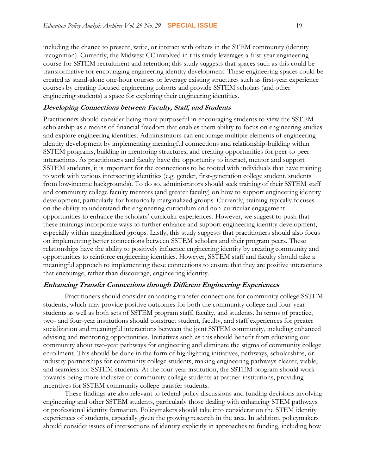including the chance to present, write, or interact with others in the STEM community (identity recognition). Currently, the Midwest CC involved in this study leverages a first-year engineering course for SSTEM recruitment and retention; this study suggests that spaces such as this could be transformative for encouraging engineering identity development. These engineering spaces could be created as stand-alone one-hour courses or leverage existing structures such as first-year experience courses by creating focused engineering cohorts and provide SSTEM scholars (and other engineering students) a space for exploring their engineering identities.

# **Developing Connections between Faculty, Staff, and Students**

Practitioners should consider being more purposeful in encouraging students to view the SSTEM scholarship as a means of financial freedom that enables them ability to focus on engineering studies and explore engineering identities. Administrators can encourage multiple elements of engineering identity development by implementing meaningful connections and relationship-building within SSTEM programs, building in mentoring structures, and creating opportunities for peer-to-peer interactions. As practitioners and faculty have the opportunity to interact, mentor and support SSTEM students, it is important for the connections to be rooted with individuals that have training to work with various intersecting identities (e.g. gender, first-generation college student, students from low-income backgrounds). To do so, administrators should seek training of their SSTEM staff and community college faculty mentors (and greater faculty) on how to support engineering identity development, particularly for historically marginalized groups. Currently, training typically focuses on the ability to understand the engineering curriculum and non-curricular engagement opportunities to enhance the scholars' curricular experiences. However, we suggest to push that these trainings incorporate ways to further enhance and support engineering identity development, especially within marginalized groups. Lastly, this study suggests that practitioners should also focus on implementing better connections between SSTEM scholars and their program peers. These relationships have the ability to positively influence engineering identity by creating community and opportunities to reinforce engineering identities. However, SSTEM staff and faculty should take a meaningful approach to implementing these connections to ensure that they are positive interactions that encourage, rather than discourage, engineering identity.

#### **Enhancing Transfer Connections through Different Engineering Experiences**

Practitioners should consider enhancing transfer connections for community college SSTEM students, which may provide positive outcomes for both the community college and four-year students as well as both sets of SSTEM program staff, faculty, and students. In terms of practice, two- and four-year institutions should construct student, faculty, and staff experiences for greater socialization and meaningful interactions between the joint SSTEM community, including enhanced advising and mentoring opportunities. Initiatives such as this should benefit from educating our community about two-year pathways for engineering and eliminate the stigma of community college enrollment. This should be done in the form of highlighting initiatives, pathways, scholarships, or industry partnerships for community college students, making engineering pathways clearer, viable, and seamless for SSTEM students. At the four-year institution, the SSTEM program should work towards being more inclusive of community college students at partner institutions, providing incentives for SSTEM community college transfer students.

These findings are also relevant to federal policy discussions and funding decisions involving engineering and other SSTEM students, particularly those dealing with enhancing STEM pathways or professional identity formation. Policymakers should take into consideration the STEM identity experiences of students, especially given the growing research in the area. In addition, policymakers should consider issues of intersections of identity explicitly in approaches to funding, including how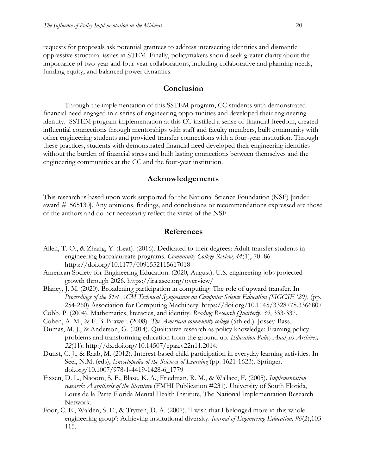requests for proposals ask potential grantees to address intersecting identities and dismantle oppressive structural issues in STEM. Finally, policymakers should seek greater clarity about the importance of two-year and four-year collaborations, including collaborative and planning needs, funding equity, and balanced power dynamics.

# **Conclusion**

Through the implementation of this SSTEM program, CC students with demonstrated financial need engaged in a series of engineering opportunities and developed their engineering identity. SSTEM program implementation at this CC instilled a sense of financial freedom, created influential connections through mentorships with staff and faculty members, built community with other engineering students and provided transfer connections with a four-year institution. Through these practices, students with demonstrated financial need developed their engineering identities without the burden of financial stress and built lasting connections between themselves and the engineering communities at the CC and the four-year institution.

# **Acknowledgements**

This research is based upon work supported for the National Science Foundation (NSF) [under award #1565130]. Any opinions, findings, and conclusions or recommendations expressed are those of the authors and do not necessarily reflect the views of the NSF.

# **References**

- Allen, T. O., & Zhang, Y. (Leaf). (2016). Dedicated to their degrees: Adult transfer students in engineering baccalaureate programs. *Community College Review, 44*(1), 70–86. https://doi.org/10.1177/0091552115617018
- American Society for Engineering Education. (2020, August). U.S. engineering jobs projected growth through 2026.<https://ira.asee.org/overview/>
- Blaney, J. M. (2020). Broadening participation in computing: The role of upward transfer. In *Proceedings of the 51st ACM Technical Symposium on Computer Science Education (SIGCSE '20)*, (pp. 254-260) Association for Computing Machinery. https://doi.org/10.1145/3328778.3366807
- Cobb, P. (2004). Mathematics, literacies, and identity. *Reading Research Quarterly*, *39*, 333-337.
- Cohen, A. M., & F. B. Brawer. (2008). *The American community college* (5th ed.). Jossey-Bass.
- Dumas, M. J., & Anderson, G. (2014). Qualitative research as policy knowledge: Framing policy problems and transforming education from the ground up. *Education Policy Analysis Archives, 22*(11). http://dx.doi.org/10.14507/epaa.v22n11.2014.
- Dunst, C. J., & Raab, M. (2012). Interest-based child participation in everyday learning activities. In Seel, N.M. (eds), *Encyclopedia of the Sciences of Learning* (pp. 1621-1623). Springer. doi.org/10.1007/978-1-4419-1428-6\_1779
- Fixsen, D. L., Naoom, S. F., Blase, K. A., Friedman, R. M., & Wallace, F. (2005). *Implementation research: A synthesis of the literature* (FMHI Publication #231). University of South Florida, Louis de la Parte Florida Mental Health Institute, The National Implementation Research Network.
- Foor, C. E., Walden, S. E., & Trytten, D. A. (2007). 'I wish that I belonged more in this whole engineering group': Achieving institutional diversity. *Journal of Engineering Education, 96*(2),103- 115.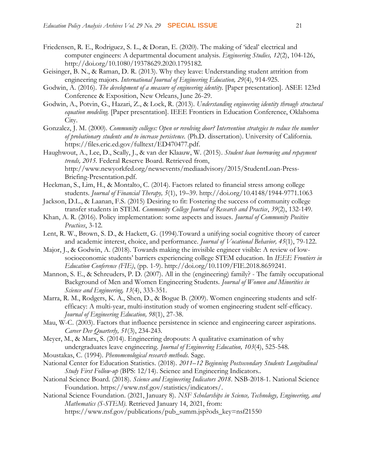- Friedensen, R. E., Rodriguez, S. L., & Doran, E. (2020). The making of 'ideal' electrical and computer engineers: A departmental document analysis. *Engineering Studies, 12*(2), 104-126, http://doi.org/10.1080/19378629.2020.1795182.
- Geisinger, B. N., & Raman, D. R. (2013). Why they leave: Understanding student attrition from engineering majors. *International Journal of Engineering Education, 29*(4), 914-925.
- Godwin, A. (2016). *The development of a measure of engineering identity.* [Paper presentation]. ASEE 123rd Conference & Exposition, New Orleans, June 26-29.
- Godwin, A., Potvin, G., Hazari, Z., & Lock, R. (2013). *Understanding engineering identity through structural equation modeling.* [Paper presentation]. IEEE Frontiers in Education Conference, Oklahoma City.
- Gonzalez, J. M. (2000). *Community colleges: Open or revolving door? Intervention strategies to reduce the number of probationary students and to increase persistence.* (Ph.D. dissertation). University of California. https://files.eric.ed.gov/fulltext/ED470477.pdf.
- Haughwout, A., Lee, D., Scally, J., & van der Klaauw, W. (2015). *Student loan borrowing and repayment trends, 2015.* Federal Reserve Board. Retrieved from, [http://www.newyorkfed.org/newsevents/mediaadvisory/2015/StudentLoan-Press-](http://www.newyorkfed.org/newsevents/mediaadvisory/2015/StudentLoan-Press-Briefing-Presentation.pdf)[Briefing-Presentation.pdf.](http://www.newyorkfed.org/newsevents/mediaadvisory/2015/StudentLoan-Press-Briefing-Presentation.pdf)
- Heckman, S., Lim, H., & Montalto, C. (2014). Factors related to financial stress among college students. *Journal of Financial Therapy, 5*(1), 19–39. http://doi.org/10.4148/1944-9771.1063
- Jackson, D.L., & Laanan, F.S. (2015) Desiring to fit: Fostering the success of community college transfer students in STEM. *Community College Journal of Research and Practice*, *39*(2), 132-149.
- Khan, A. R. (2016). Policy implementation: some aspects and issues. *Journal of Community Positive Practices*, 3-12.
- Lent, R. W., Brown, S. D., & Hackett, G. (1994).Toward a unifying social cognitive theory of career and academic interest, choice, and performance. *Journal of Vocational Behavior, 45*(1), 79-122.
- Major, J., & Godwin, A. (2018). Towards making the invisible engineer visible: A review of lowsocioeconomic students' barriers experiencing college STEM education. In *IEEE Frontiers in Education Conference (FIE)*, (pp. 1-9). http://doi.org/10.1109/FIE.2018.8659241.
- Mannon, S. E., & Schreuders, P. D. (2007). All in the (engineering) family? The family occupational Background of Men and Women Engineering Students. *Journal of Women and Minorities in Science and Engineering, 13*(4), 333-351.
- Marra, R. M., Rodgers, K. A., Shen, D., & Bogue B. (2009). Women engineering students and selfefficacy: A multi-year, multi-institution study of women engineering student self-efficacy. *Journal of Engineering Education, 98*(1), 27-38.
- Mau, W-C. (2003). Factors that influence persistence in science and engineering career aspirations. *Career Dev Quarterly, 51*(3), 234-243.
- Meyer, M., & Marx, S. (2014). Engineering dropouts: A qualitative examination of why undergraduates leave engineering. *Journal of Engineering Education, 103*(4), 525-548.
- Moustakas, C. (1994). *Phenomenological research methods.* Sage.
- National Center for Education Statistics. (2018). *2011–12 Beginning Postsecondary Students Longitudinal Study First Follow-up* (BPS: 12/14). Science and Engineering Indicators..
- National Science Board. (2018). *Science and Engineering Indicators 2018*. NSB-2018-1. National Science Foundation. [https://www.nsf.gov/statistics/indicators/.](https://www.nsf.gov/statistics/indicators/)
- National Science Foundation. (2021, January 8). *NSF Scholarships in Science, Technology, Engineering, and Mathematics (S-STEM).* Retrieved January 14, 2021, from: https://www.nsf.gov/publications/pub\_summ.jsp?ods\_key=nsf21550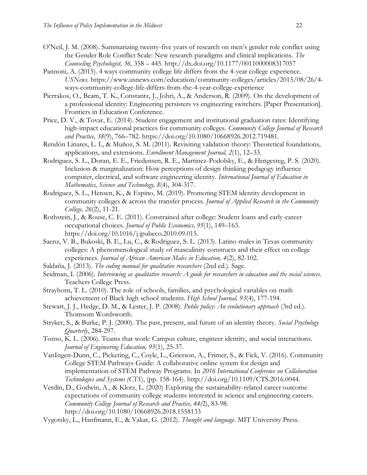- O'Neil, J. M. (2008). Summarizing twenty-five years of research on men's gender role conflict using the Gender Role Conflict Scale: New research paradigms and clinical implications. *The Counseling Psychologist, 36,* 358 – 445. http://dx.doi.org/10.1177/0011000008317057
- Pannoni, A. (2015). 4 ways community college life differs from the 4-year college experience. *USNews.* https://www.usnews.com/education/community-colleges/articles/2015/08/26/4 ways-community-college-life-differs-from-the-4-year-college-experience
- Pierrakos, O., Beam, T. K., Constantz, J., Johri, A., & Anderson, R. (2009). On the development of a professional identity: Engineering persisters vs engineering switchers. [Paper Presentation]. Frontiers in Education Conference.
- Price, D. V., & Tovar, E. (2014). Student engagement and institutional graduation rates: Identifying high-impact educational practices for community colleges. *Community College Journal of Research and Practice, 38*(9), 766–782. https://doi.org/10.1080/10668926.2012.719481.
- Rendón Linares, L. I., & Muñoz, S. M. (2011). Revisiting validation theory: Theoretical foundations, applications, and extensions. *Enrollment Management Journal, 2*(1), 12–33.
- Rodriguez, S. L., Doran, E. E., Friedensen, R. E., Martinez-Podolsky, E., & Hengesteg, P. S. (2020). Inclusion & marginalization: How perceptions of design thinking pedagogy influence computer, electrical, and software engineering identity. *International Journal of Education in Mathematics, Science and Technology, 8*(4), 304-317.
- Rodriguez, S. L., Hensen, K., & Espino, M. (2019). Promoting STEM identity development in community colleges & across the transfer process. *Journal of Applied Research in the Community College, 26*(2), 11-21.
- Rothstein, J., & Rouse, C. E. (2011). Constrained after college: Student loans and early-career occupational choices. *Journal of Public Economics, 95*(1), 149–163. https://doi.org/10.1016/j.jpubeco.2010.09.015.
- Saenz, V. B., Bukoski, B. E., Lu, C., & Rodriguez, S. L. (2013). Latino males in Texas community colleges: A phenomenological study of masculinity constructs and their effect on college experiences. *Journal of African American Males in Education, 4*(2), 82-102.
- Saldaña, J. (2013). *The coding manual for qualitative researchers* (2nd ed.). Sage.
- Seidman, I. (2006). *Interviewing as qualitative research: A guide for researchers in education and the social sciences.* Teachers College Press.
- Strayhorn, T. L. (2010). The role of schools, families, and psychological variables on math achievement of Black high school students. *High School Journal, 93*(4), 177-194.
- Stewart, J. J., Hedge, D. M., & Lester, J. P. (2008). *Public policy: An evolutionary approach* (3rd ed.). Thomsom Wordsworth.
- Stryker, S., & Burke, P. J. (2000). The past, present, and future of an identity theory. *Social Psychology Quarterly*, 284-297.
- Tonso, K. L. (2006). Teams that work: Campus culture, engineer identity, and social interactions. *Journal of Engineering Education, 95*(1), 25-37.
- VanIngen-Dunn, C., Pickering, C., Coyle, L., Grierson, A., Frimer, S., & Fick, V. (2016). Community College STEM Pathways Guide: A collaborative online system for design and implementation of STEM Pathway Programs. In *2016 International Conference on Collaboration Technologies and Systems (CTS*), (pp. 158-164). http://doi.org/10.1109/CTS.2016.0044.
- Verdín, D., Godwin, A., & Klotz, L. (2020) Exploring the sustainability-related career outcome expectations of community college students interested in science and engineering careers. *Community College Journal of Research and Practice, 44(*2), 83-98. http://doi.org/10.1080/10668926.2018.1558133
- Vygotsky, L., Hanfmann, E., & Vakar, G. (2012). *Thought and language*. MIT University Press.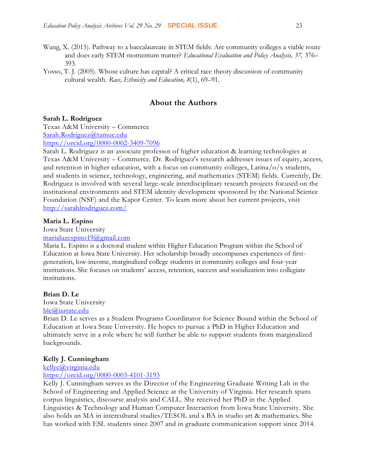- Wang, X. (2015). Pathway to a baccalaureate in STEM fields: Are community colleges a viable route and does early STEM momentum matter? *Educational Evaluation and Policy Analysis, 37,* 376– 393.
- Yosso, T. J. (2005). Whose culture has capital? A critical race theory discussion of community cultural wealth. *Race, Ethnicity and Education, 8*(1), 69–91.

# **About the Authors**

## **Sarah L. Rodriguez**

Texas A&M University – Commerce [Sarah.Rodriguez@tamuc.edu](mailto:Sarah.Rodriguez@tamuc.edu) <https://orcid.org/0000-0002-3409-7096>

Sarah L. Rodriguez is an associate professor of higher education & learning technologies at Texas A&M University – Commerce. Dr. Rodriguez's research addresses issues of equity, access, and retention in higher education, with a focus on community colleges, Latina/ $o/x$  students, and students in science, technology, engineering, and mathematics (STEM) fields. Currently, Dr. Rodriguez is involved with several large-scale interdisciplinary research projects focused on the institutional environments and STEM identity development sponsored by the National Science Foundation (NSF) and the Kapor Center. To learn more about her current projects, visit <http://sarahlrodriguez.com/>

## **Maria L. Espino**

Iowa State University

#### [marialuzespino19@gmail.com](mailto:marialuzespino19@gmail.com)

Maria L. Espino is a doctoral student within Higher Education Program within the School of Education at Iowa State University. Her scholarship broadly encompasses experiences of firstgeneration, low-income, marginalized college students in community colleges and four-year institutions. She focuses on students' access, retention, success and socialization into collegiate institutions.

#### **Brian D. Le**

Iowa State University [ble@iastate.edu](mailto:ble@iastate.edu)

Brian D. Le serves as a Student Programs Coordinator for Science Bound within the School of Education at Iowa State University. He hopes to pursue a PhD in Higher Education and ultimately serve in a role where he will further be able to support students from marginalized backgrounds.

#### **Kelly J. Cunningham**

[kellyc@virginia.edu](mailto:kellyc@virginia.edu)

<https://orcid.org/0000-0003-4101-3193>

Kelly J. Cunningham serves as the Director of the Engineering Graduate Writing Lab in the School of Engineering and Applied Science at the University of Virginia. Her research spans corpus linguistics, discourse analysis and CALL. She received her PhD in the Applied Linguistics & Technology and Human Computer Interaction from Iowa State University. She also holds an MA in intercultural studies/TESOL and a BA in studio art & mathematics. She has worked with ESL students since 2007 and in graduate communication support since 2014.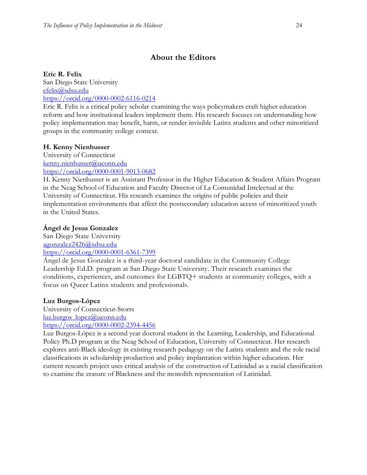# **About the Editors**

# **Eric R. Felix**

San Diego State University [efelix@sdsu.edu](mailto:efelix@sdsu.edu) <https://orcid.org/0000-0002-6116-0214>

Eric R. Felix is a critical policy scholar examining the ways policymakers craft higher education reform and how institutional leaders implement them. His research focuses on understanding how policy implementation may benefit, harm, or render invisible Latinx students and other minoritized groups in the community college context.

# **H. Kenny Nienhusser**

University of Connecticut [kenny.nienhusser@uconn.edu](mailto:kenny.nienhusser@uconn.edu) <https://orcid.org/0000-0001-9013-0682>

H. Kenny Nienhusser is an Assistant Professor in the Higher Education & Student Affairs Program in the Neag School of Education and Faculty Director of La Comunidad Intelectual at the University of Connecticut. His research examines the origins of public policies and their implementation environments that affect the postsecondary education access of minoritized youth in the United States.

# **Ángel de Jesus Gonzalez**

San Diego State University [agonzalez2426@sdsu.edu](mailto:agonzalez2426@sdsu.edu) <https://orcid.org/0000-0001-6361-7399>

Ángel de Jesus Gonzalez is a third-year doctoral candidate in the Community College Leadership Ed.D. program at San Diego State University. Their research examines the conditions, experiences, and outcomes for LGBTQ+ students at community colleges, with a focus on Queer Latinx students and professionals.

# **Luz Burgos-López**

University of Connecticut-Storrs [luz.burgos\\_lopez@uconn.edu](mailto:luz.burgos_lopez@uconn.edu) <https://orcid.org/0000-0002-2394-4456>

Luz Burgos-López is a second year doctoral student in the Learning, Leadership, and Educational Policy Ph.D program at the Neag School of Education, University of Connecticut. Her research explores anti-Black ideology in existing research pedagogy on the Latinx students and the role racial classifications in scholarship production and policy implantation within higher education. Her current research project uses critical analysis of the construction of Latinidad as a racial classification to examine the erasure of Blackness and the monolith representation of Latinidad.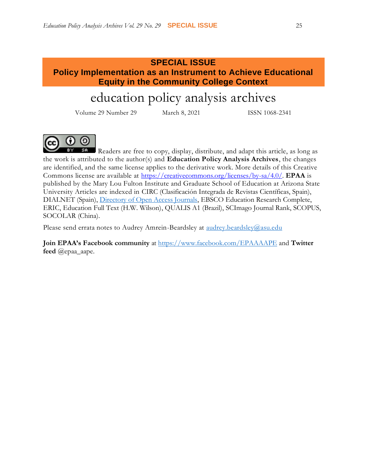# **SPECIAL ISSUE Policy Implementation as an Instrument to Achieve Educational Equity in the Community College Context**

# education policy analysis archives

Volume 29 Number 29 March 8, 2021 ISSN 1068-2341



Readers are free to copy, display, distribute, and adapt this article, as long as the work is attributed to the author(s) and **Education Policy Analysis Archives**, the changes are identified, and the same license applies to the derivative work. More details of this Creative Commons license are available at [https://creativecommons.org/licenses/by-sa/4.0/.](https://creativecommons.org/licenses/by-sa/4.0/) **EPAA** is published by the Mary Lou Fulton Institute and Graduate School of Education at Arizona State University Articles are indexed in CIRC (Clasificación Integrada de Revistas Científicas, Spain), DIALNET (Spain), [Directory of Open Access Journals,](http://www.doaj.org/) EBSCO Education Research Complete, ERIC, Education Full Text (H.W. Wilson), QUALIS A1 (Brazil), SCImago Journal Rank, SCOPUS, SOCOLAR (China).

Please send errata notes to Audrey Amrein-Beardsley at [audrey.beardsley@asu.edu](mailto:audrey.beardsley@asu.edu)

**Join EPAA's Facebook community** at<https://www.facebook.com/EPAAAAPE> and **Twitter feed** @epaa\_aape.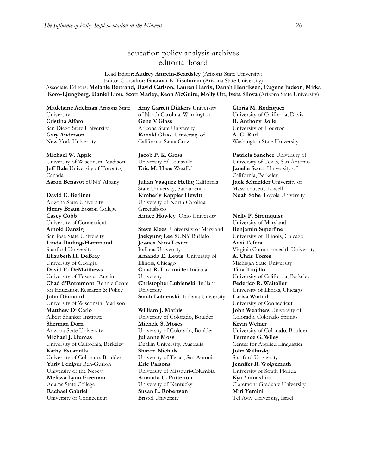# education policy analysis archives editorial board

#### Lead Editor: **Audrey Amrein-Beardsley** (Arizona State University) Editor Consultor: **Gustavo E. Fischman** (Arizona State University) Associate Editors: **Melanie Bertrand, David Carlson, Lauren Harris, Danah Henriksen, Eugene Judson**, **Mirka Koro-Ljungberg, Daniel Liou, Scott Marley, Keon McGuire, Molly Ott, Iveta Silova** (Arizona State University)

**Madelaine Adelman** Arizona State University **Cristina Alfaro**  San Diego State University **Gary Anderson** New York University

#### **Michael W. Apple**

University of Wisconsin, Madison **Jeff Bale** University of Toronto, Canada **Aaron Benavot** SUNY Albany **Julian Vasquez Heilig** California

#### **David C. Berliner**

Arizona State University **Henry Braun** Boston College **Casey Cobb** University of Connecticut **Arnold Danzig** San Jose State University **Linda Darling-Hammond**  Stanford University **Elizabeth H. DeBray**  University of Georgia **David E. DeMatthews** University of Texas at Austin **Chad d'Entremont** Rennie Center for Education Research & Policy **John Diamond** University of Wisconsin, Madison **Matthew Di Carlo**  Albert Shanker Institute **Sherman Dorn** Arizona State University **Michael J. Dumas**  University of California, Berkeley **Kathy Escamilla**  University of Colorado, Boulder **Yariv Feniger** Ben-Gurion University of the Negev **Melissa Lynn Freeman**  Adams State College **Rachael Gabriel** University of Connecticut

**Amy Garrett Dikkers** University of North Carolina, Wilmington **Gene V Glass**  Arizona State University **Ronald Glass** University of California, Santa Cruz

**Jacob P. K. Gross**  University of Louisville

State University, Sacramento **Kimberly Kappler Hewitt** University of North Carolina Greensboro **Aimee Howley** Ohio University **Nelly P. Stromquist** 

**Steve Klees** University of Maryland **Jaekyung Lee S**UNY Buffalo **Jessica Nina Lester** Indiana University **Amanda E. Lewis** University of Illinois, Chicago **Chad R. Lochmiller** Indiana University **Christopher Lubienski** Indiana University **Sarah Lubienski** Indiana University **Larisa Warhol**

**William J. Mathis**  University of Colorado, Boulder **Michele S. Moses**  University of Colorado, Boulder **Julianne Moss** Deakin University, Australia **Sharon Nichols**  University of Texas, San Antonio **Eric Parsons** University of Missouri-Columbia **Amanda U. Potterton** University of Kentucky **Susan L. Robertson** Bristol University

**Gloria M. Rodriguez** University of California, Davis **R. Anthony Rolle**  University of Houston **A. G. Rud**  Washington State University

**Patricia Sánchez** University of University of Texas, San Antonio **Eric M. Haas** WestEd **Janelle Scott** University of California, Berkeley **Jack Schneider** University of Massachusetts Lowell **Noah Sobe** Loyola University

University of Maryland **Benjamin Superfine**  University of Illinois, Chicago **Adai Tefera**  Virginia Commonwealth University **A. Chris Torres** Michigan State University **Tina Trujillo**  University of California, Berkeley **Federico R. Waitoller**  University of Illinois, Chicago University of Connecticut **John Weathers** University of Colorado, Colorado Springs **Kevin Welner** University of Colorado, Boulder **Terrence G. Wiley**  Center for Applied Linguistics **John Willinsky**  Stanford University **Jennifer R. Wolgemuth**  University of South Florida **Kyo Yamashiro**  Claremont Graduate University **Miri Yemini** Tel Aviv University, Israel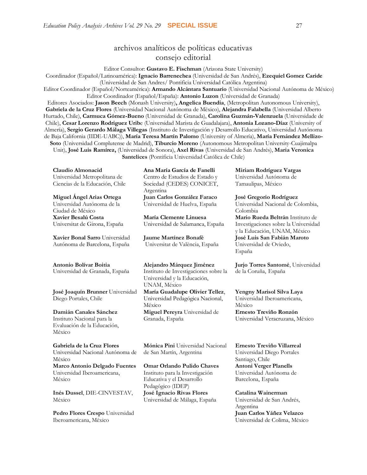# archivos analíticos de políticas educativas consejo editorial

Editor Consultor: **Gustavo E. Fischman** (Arizona State University)

Coordinador (Español/Latinoamérica): **Ignacio Barrenechea** (Universidad de San Andrés), **Ezequiel Gomez Caride** (Universidad de San Andres/ Pontificia Universidad Católica Argentina)

Editor Coordinador (Español/Norteamérica): **Armando Alcántara Santuario** (Universidad Nacional Autónoma de México) Editor Coordinador (Español/España): **Antonio Luzon** (Universidad de Granada)

Editores Asociados: **Jason Beech** (Monash University)**, Angelica Buendia**, (Metropolitan Autonomous University), **Gabriela de la Cruz Flores** (Universidad Nacional Autónoma de Mëxico), **Alejandra Falabella** (Universidad Alberto Hurtado, Chile), **Carmuca Gómez-Bueno** (Universidad de Granada), **Carolina Guzmán-Valenzuela** (Universidade de Chile), **Cesar Lorenzo Rodriguez Urib**e (Universidad Marista de Guadalajara), **Antonia Lozano-Díaz** (University of Almería), **Sergio Gerardo Málaga Villegas** (Instituto de Investigación y Desarrollo Educativo, Universidad Autónoma de Baja California (IIDE-UABC)), **María Teresa Martín Palomo** (University of Almería), **María Fernández Mellizo-Soto** (Universidad Complutense de Madrid), **Tiburcio Moreno** (Autonomous Metropolitan University-Cuajimalpa Unit), **José Luis Ramírez,** (Universidad de Sonora), **Axel Rivas** (Universidad de San Andrés), **Maria Veronica Santelices** (Pontificia Universidad Católica de Chile)

**Claudio Almonacid** Universidad Metropolitana de Ciencias de la Educación, Chile

**Miguel Ángel Arias Ortega**  Universidad Autónoma de la Ciudad de México **Xavier Besalú Costa**  Universitat de Girona, España

**[Xavier Bonal](javascript:openRTWindow() Sarro** Universidad Autónoma de Barcelona, España

#### **[Antonio Bolívar](javascript:openRTWindow() Boitia**

Universidad de Granada, España

**[José Joaquín Brunner](javascript:openRTWindow()** Universidad Diego Portales, Chile

**[Damián Canales Sánchez](javascript:openRTWindow()** Instituto Nacional para la Evaluación de la Educación, México

**Gabriela de la Cruz Flores** Universidad Nacional Autónoma de México **[Marco Antonio Delgado Fuentes](javascript:openRTWindow()** Universidad Iberoamericana, México

**[Inés Dussel](javascript:openRTWindow()**, DIE-CINVESTAV, México

**[Pedro Flores Crespo](javascript:openRTWindow()** Universidad Iberoamericana, México

**Ana María García de Fanelli**  Centro de Estudios de Estado y Sociedad (CEDES) CONICET, Argentina **Juan Carlos González Faraco**  Universidad de Huelva, España

**María Clemente Linuesa**  Universidad de Salamanca, España

**Jaume Martínez Bonafé** Universitat de València, España

**Alejandro Márquez Jiménez**  Instituto de Investigaciones sobre la Universidad y la Educación, UNAM, México

**María Guadalupe Olivier Tellez**, Universidad Pedagógica Nacional, México **[Miguel Pereyra](javascript:openRTWindow()** Universidad de Granada, España

**[Mónica Pini](javascript:openRTWindow()** Universidad Nacional de San Martín, Argentina

**Omar Orlando Pulido Chaves** Instituto para la Investigación Educativa y el Desarrollo Pedagógico (IDEP) **José Ignacio Rivas Flores** Universidad de Málaga, España

**[Miriam Rodríguez Vargas](javascript:openRTWindow()** Universidad Autónoma de Tamaulipas, México

**José Gregorio Rodríguez**  Universidad Nacional de Colombia, Colombia **[Mario Rueda Beltrán](javascript:openRTWindow()** Instituto de Investigaciones sobre la Universidad y la Educación, UNAM, México **José Luis San Fabián Maroto**  Universidad de Oviedo, España

**[Jurjo Torres](javascript:openRTWindow() Santomé**, Universidad de la Coruña, España

**[Yengny Marisol Silva Laya](javascript:openRTWindow()** Universidad Iberoamericana, México **Ernesto Treviño Ronzón** Universidad Veracruzana, México

**[Ernesto Treviño](javascript:openRTWindow() Villarreal** Universidad Diego Portales Santiago, Chile **[Antoni Verger Planells](javascript:openRTWindow()** Universidad Autónoma de Barcelona, España

**[Catalina Wainerman](javascript:openRTWindow()** Universidad de San Andrés, Argentina **Juan Carlos Yáñez Velazco** Universidad de Colima, México